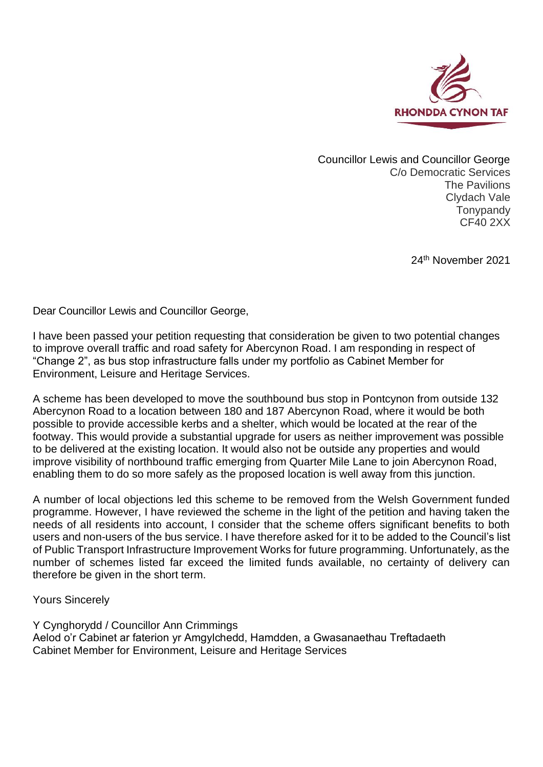

Councillor Lewis and Councillor George C/o Democratic Services The Pavilions Clydach Vale Tonypandy CF40 2XX

24th November 2021

Dear Councillor Lewis and Councillor George,

I have been passed your petition requesting that consideration be given to two potential changes to improve overall traffic and road safety for Abercynon Road. I am responding in respect of "Change 2", as bus stop infrastructure falls under my portfolio as Cabinet Member for Environment, Leisure and Heritage Services.

A scheme has been developed to move the southbound bus stop in Pontcynon from outside 132 Abercynon Road to a location between 180 and 187 Abercynon Road, where it would be both possible to provide accessible kerbs and a shelter, which would be located at the rear of the footway. This would provide a substantial upgrade for users as neither improvement was possible to be delivered at the existing location. It would also not be outside any properties and would improve visibility of northbound traffic emerging from Quarter Mile Lane to join Abercynon Road, enabling them to do so more safely as the proposed location is well away from this junction.

A number of local objections led this scheme to be removed from the Welsh Government funded programme. However, I have reviewed the scheme in the light of the petition and having taken the needs of all residents into account, I consider that the scheme offers significant benefits to both users and non-users of the bus service. I have therefore asked for it to be added to the Council's list of Public Transport Infrastructure Improvement Works for future programming. Unfortunately, as the number of schemes listed far exceed the limited funds available, no certainty of delivery can therefore be given in the short term.

Yours Sincerely

Y Cynghorydd / Councillor Ann Crimmings Aelod o'r Cabinet ar faterion yr Amgylchedd, Hamdden, a Gwasanaethau Treftadaeth Cabinet Member for Environment, Leisure and Heritage Services